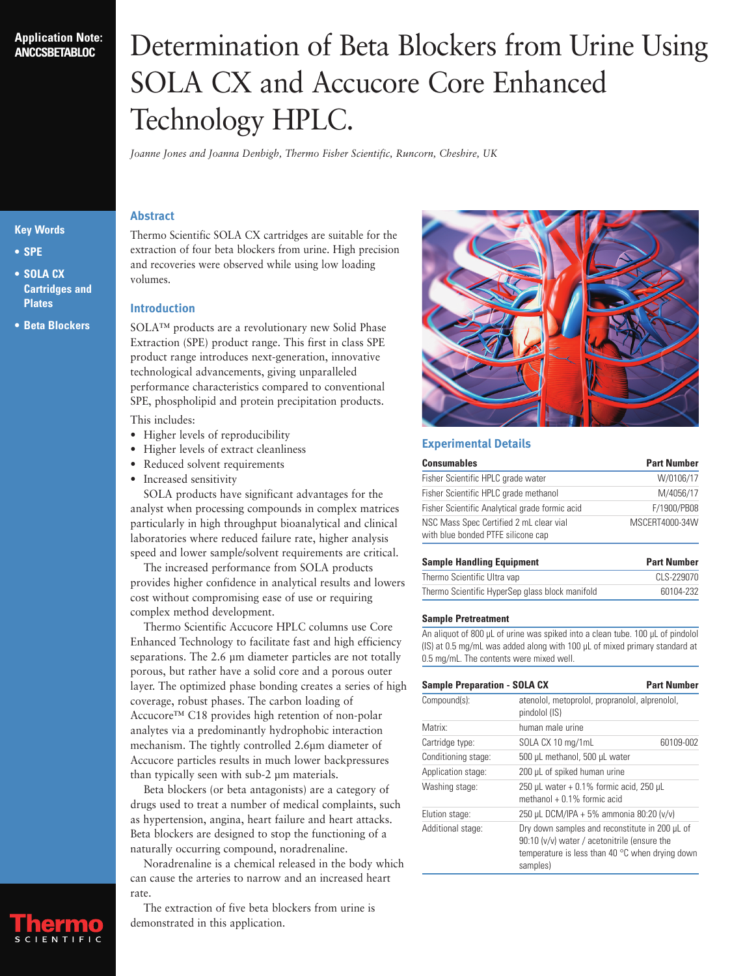## **Application Note: ANCCSBETABLOC**

# Determination of Beta Blockers from Urine Using SOLA CX and Accucore Core Enhanced Technology HPLC.

*Joanne Jones and Joanna Denbigh, Thermo Fisher Scientific, Runcorn, Cheshire, UK*

## **Key Words**

- **• SPE**
- **• SOLA CX Cartridges and Plates**
- **• Beta Blockers**

## **Abstract**

Thermo Scientific SOLA CX cartridges are suitable for the extraction of four beta blockers from urine. High precision and recoveries were observed while using low loading volumes.

## **Introduction**

SOLA™ products are a revolutionary new Solid Phase Extraction (SPE) product range. This first in class SPE product range introduces next-generation, innovative technological advancements, giving unparalleled performance characteristics compared to conventional SPE, phospholipid and protein precipitation products.

This includes:

- Higher levels of reproducibility
- Higher levels of extract cleanliness
- Reduced solvent requirements
- Increased sensitivity

SOLA products have significant advantages for the analyst when processing compounds in complex matrices particularly in high throughput bioanalytical and clinical laboratories where reduced failure rate, higher analysis speed and lower sample/solvent requirements are critical.

The increased performance from SOLA products provides higher confidence in analytical results and lowers cost without compromising ease of use or requiring complex method development.

Thermo Scientific Accucore HPLC columns use Core Enhanced Technology to facilitate fast and high efficiency separations. The 2.6 µm diameter particles are not totally porous, but rather have a solid core and a porous outer layer. The optimized phase bonding creates a series of high coverage, robust phases. The carbon loading of Accucore™ C18 provides high retention of non-polar analytes via a predominantly hydrophobic interaction mechanism. The tightly controlled 2.6µm diameter of Accucore particles results in much lower backpressures than typically seen with sub-2 µm materials.

Beta blockers (or beta antagonists) are a category of drugs used to treat a number of medical complaints, such as hypertension, angina, heart failure and heart attacks. Beta blockers are designed to stop the functioning of a naturally occurring compound, noradrenaline.

Noradrenaline is a chemical released in the body which can cause the arteries to narrow and an increased heart rate.





## **Experimental Details**

| <b>Consumables</b>                                                            | <b>Part Number</b> |  |
|-------------------------------------------------------------------------------|--------------------|--|
| Fisher Scientific HPLC grade water                                            | W/0106/17          |  |
| Fisher Scientific HPLC grade methanol                                         | M/4056/17          |  |
| Fisher Scientific Analytical grade formic acid                                | F/1900/PB08        |  |
| NSC Mass Spec Certified 2 mL clear vial<br>with blue bonded PTFE silicone cap | MSCERT4000-34W     |  |

| <b>Sample Handling Equipment</b>                | <b>Part Number</b> |  |
|-------------------------------------------------|--------------------|--|
| Thermo Scientific Ultra vap                     | CLS-229070         |  |
| Thermo Scientific HyperSep glass block manifold | 60104-232          |  |

### **Sample Pretreatment**

An aliquot of 800 µL of urine was spiked into a clean tube. 100 µL of pindolol (IS) at 0.5 mg/mL was added along with 100 µL of mixed primary standard at 0.5 mg/mL. The contents were mixed well.

| <b>Sample Preparation - SOLA CX</b> |                                                                             | <b>Part Number</b>                                                                                                                                         |  |
|-------------------------------------|-----------------------------------------------------------------------------|------------------------------------------------------------------------------------------------------------------------------------------------------------|--|
| Compound(s):                        | atenolol, metoprolol, propranolol, alprenolol,<br>pindolol (IS)             |                                                                                                                                                            |  |
| Matrix:                             | human male urine                                                            |                                                                                                                                                            |  |
| Cartridge type:                     | SOLA CX 10 mg/1mL                                                           | 60109-002                                                                                                                                                  |  |
| Conditioning stage:                 | 500 µL methanol, 500 µL water                                               |                                                                                                                                                            |  |
| Application stage:                  | 200 µL of spiked human urine                                                |                                                                                                                                                            |  |
| Washing stage:                      | 250 µL water $+0.1\%$ formic acid, 250 µL<br>methanol + $0.1\%$ formic acid |                                                                                                                                                            |  |
| Elution stage:                      | 250 µL DCM/IPA + 5% ammonia 80:20 (v/v)                                     |                                                                                                                                                            |  |
| Additional stage:                   | samples)                                                                    | Dry down samples and reconstitute in 200 µL of<br>90:10 (v/v) water / acetonitrile (ensure the<br>temperature is less than 40 $\degree$ C when drying down |  |